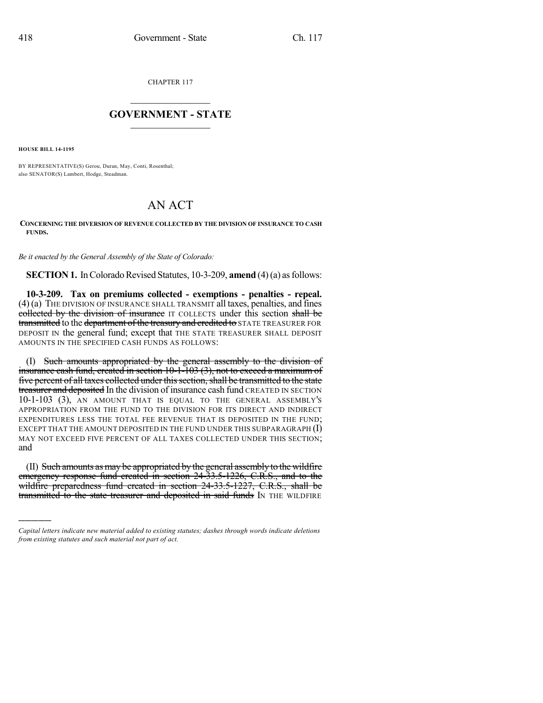CHAPTER 117

## $\mathcal{L}_\text{max}$  . The set of the set of the set of the set of the set of the set of the set of the set of the set of the set of the set of the set of the set of the set of the set of the set of the set of the set of the set **GOVERNMENT - STATE**  $\_$

**HOUSE BILL 14-1195**

)))))

BY REPRESENTATIVE(S) Gerou, Duran, May, Conti, Rosenthal; also SENATOR(S) Lambert, Hodge, Steadman.

## AN ACT

## **CONCERNING THE DIVERSION OF REVENUE COLLECTED BY THE DIVISION OF INSURANCE TO CASH FUNDS.**

*Be it enacted by the General Assembly of the State of Colorado:*

**SECTION 1.** In Colorado Revised Statutes, 10-3-209, **amend** (4)(a) as follows:

**10-3-209. Tax on premiums collected - exemptions - penalties - repeal.** (4) (a) THE DIVISION OF INSURANCE SHALL TRANSMIT all taxes, penalties, and fines collected by the division of insurance IT COLLECTS under this section shall be transmitted to the department of the treasury and credited to STATE TREASURER FOR DEPOSIT IN the general fund; except that THE STATE TREASURER SHALL DEPOSIT AMOUNTS IN THE SPECIFIED CASH FUNDS AS FOLLOWS:

(I) Such amounts appropriated by the general assembly to the division of insurance cash fund, created in section 10-1-103 (3), not to exceed a maximum of five percent of all taxes collected under this section, shall be transmitted to the state treasurer and deposited In the division of insurance cash fund CREATED IN SECTION 10-1-103 (3), AN AMOUNT THAT IS EQUAL TO THE GENERAL ASSEMBLY'S APPROPRIATION FROM THE FUND TO THE DIVISION FOR ITS DIRECT AND INDIRECT EXPENDITURES LESS THE TOTAL FEE REVENUE THAT IS DEPOSITED IN THE FUND; EXCEPT THAT THE AMOUNT DEPOSITED IN THE FUND UNDER THIS SUBPARAGRAPH  $(I)$ MAY NOT EXCEED FIVE PERCENT OF ALL TAXES COLLECTED UNDER THIS SECTION; and

(II) Such amounts as may be appropriated by the general assembly to the wildfire emergency response fund created in section 24-33.5-1226, C.R.S., and to the wildfire preparedness fund created in section 24-33.5-1227, C.R.S., shall be transmitted to the state treasurer and deposited in said funds IN THE WILDFIRE

*Capital letters indicate new material added to existing statutes; dashes through words indicate deletions from existing statutes and such material not part of act.*